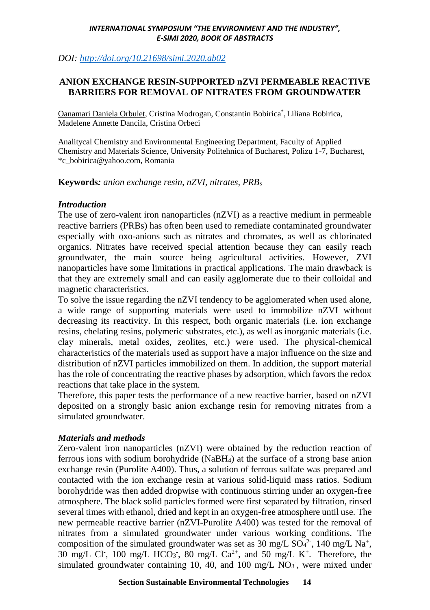*DOI:<http://doi.org/10.21698/simi.2020.ab02>*

## **ANION EXCHANGE RESIN-SUPPORTED nZVI PERMEABLE REACTIVE BARRIERS FOR REMOVAL OF NITRATES FROM GROUNDWATER**

Oanamari Daniela Orbulet, Cristina Modrogan, Constantin Bobirica\*, Liliana Bobirica, Madelene Annette Dancila, Cristina Orbeci

Analitycal Chemistry and Environmental Engineering Department, Faculty of Applied Chemistry and Materials Science, University Politehnica of Bucharest, Polizu 1-7, Bucharest, \*c\_bobirica@yahoo.com, Romania

**Keywords***: anion exchange resin, nZVI, nitrates, PRB<sup>s</sup>*

## *Introduction*

The use of zero-valent iron nanoparticles (nZVI) as a reactive medium in permeable reactive barriers (PRBs) has often been used to remediate contaminated groundwater especially with oxo-anions such as nitrates and chromates, as well as chlorinated organics. Nitrates have received special attention because they can easily reach groundwater, the main source being agricultural activities. However, ZVI nanoparticles have some limitations in practical applications. The main drawback is that they are extremely small and can easily agglomerate due to their colloidal and magnetic characteristics.

To solve the issue regarding the nZVI tendency to be agglomerated when used alone, a wide range of supporting materials were used to immobilize nZVI without decreasing its reactivity. In this respect, both organic materials (i.e. ion exchange resins, chelating resins, polymeric substrates, etc.), as well as inorganic materials (i.e. clay minerals, metal oxides, zeolites, etc.) were used. The physical-chemical characteristics of the materials used as support have a major influence on the size and distribution of nZVI particles immobilized on them. In addition, the support material has the role of concentrating the reactive phases by adsorption, which favors the redox reactions that take place in the system.

Therefore, this paper tests the performance of a new reactive barrier, based on nZVI deposited on a strongly basic anion exchange resin for removing nitrates from a simulated groundwater.

# *Materials and methods*

Zero-valent iron nanoparticles (nZVI) were obtained by the reduction reaction of ferrous ions with sodium borohydride (NaBH4) at the surface of a strong base anion exchange resin (Purolite A400). Thus, a solution of ferrous sulfate was prepared and contacted with the ion exchange resin at various solid-liquid mass ratios. Sodium borohydride was then added dropwise with continuous stirring under an oxygen-free atmosphere. The black solid particles formed were first separated by filtration, rinsed several times with ethanol, dried and kept in an oxygen-free atmosphere until use. The new permeable reactive barrier (nZVI-Purolite A400) was tested for the removal of nitrates from a simulated groundwater under various working conditions. The composition of the simulated groundwater was set as 30 mg/L  $SO_4^2$ , 140 mg/L Na<sup>+</sup>, 30 mg/L Cl<sup>-</sup>, 100 mg/L HCO<sub>3</sub>, 80 mg/L Ca<sup>2+</sup>, and 50 mg/L K<sup>+</sup>. Therefore, the simulated groundwater containing 10, 40, and 100 mg/L  $NO<sub>3</sub>$ , were mixed under